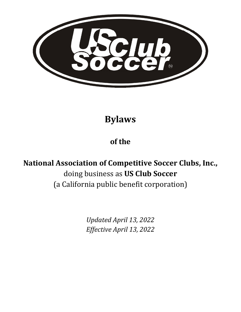

**Bylaws**

## **of the**

# **National Association of Competitive Soccer Clubs, Inc.,** doing business as **US Club Soccer**  (a California public benefit corporation)

*Updated April 13, 2022 Effective April 13, 2022*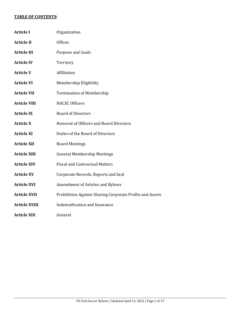#### **TABLE OF CONTENTS:**

| <b>Article I</b>     | Organization                                             |
|----------------------|----------------------------------------------------------|
| <b>Article II</b>    | <b>Offices</b>                                           |
| <b>Article III</b>   | <b>Purpose and Goals</b>                                 |
| <b>Article IV</b>    | Territory                                                |
| <b>Article V</b>     | Affiliation                                              |
| <b>Article VI</b>    | Membership Eligibility                                   |
| <b>Article VII</b>   | <b>Termination of Membership</b>                         |
| <b>Article VIII</b>  | <b>NACSC Officers</b>                                    |
| <b>Article IX</b>    | <b>Board of Directors</b>                                |
| <b>Article X</b>     | <b>Removal of Officers and Board Directors</b>           |
| <b>Article XI</b>    | Duties of the Board of Directors                         |
| <b>Article XII</b>   | <b>Board Meetings</b>                                    |
| <b>Article XIII</b>  | <b>General Membership Meetings</b>                       |
| <b>Article XIV</b>   | <b>Fiscal and Contractual Matters</b>                    |
| <b>Article XV</b>    | Corporate Records, Reports and Seal                      |
| <b>Article XVI</b>   | Amendment of Articles and Bylaws                         |
| <b>Article XVII</b>  | Prohibition Against Sharing Corporate Profits and Assets |
| <b>Article XVIII</b> | Indemnification and Insurance                            |
| <b>Article XIX</b>   | General                                                  |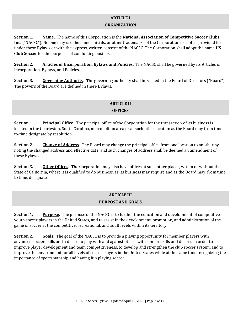#### **ARTICLE I**

#### **ORGANIZATION**

**Section 1. Name.** The name of this Corporation is the **National Association of Competitive Soccer Clubs, Inc.** ("NACSC"). No one may use the name, initials, or other trademarks of the Corporation except as provided for under these Bylaws or with the express, written consent of the NACSC. The Corporation shall adopt the name **US Club Soccer** for the purposes of conducting business.

**Section 2. Articles of Incorporation, Bylaws and Policies.** The NACSC shall be governed by its Articles of Incorporation, Bylaws, and Policies.

**Section 3. Governing Authority.** The governing authority shall be vested in the Board of Directors ("Board"). The powers of the Board are defined in these Bylaws.

#### **ARTICLE II OFFICES**

**Section 1. Principal Office.** The principal office of the Corporation for the transaction of its business is located in the Charleston, South Carolina, metropolitan area or at such other location as the Board may from timeto-time designate by resolution.

**Section 2. Change of Address.** The Board may change the principal office from one location to another by noting the changed address and effective date, and such changes of address shall be deemed an amendment of these Bylaws.

**Section 3. Other Offices.** The Corporation may also have offices at such other places, within or without the State of California, where it is qualified to do business, as its business may require and as the Board may, from time to time, designate.

## **ARTICLE III PURPOSE AND GOALS**

**Section 1. Purpose.** The purpose of the NACSC is to further the education and development of competitive youth soccer players in the United States, and to assist in the development, promotion, and administration of the game of soccer at the competitive, recreational, and adult levels within its territory.

**Section 2.** Goals. The goal of the NACSC is to provide a playing opportunity for member players with advanced soccer skills and a desire to play with and against others with similar skills and desires in order to improve player development and team competitiveness, to develop and strengthen the club soccer system, and to improve the environment for all levels of soccer players in the United States while at the same time recognizing the importance of sportsmanship and having fun playing soccer.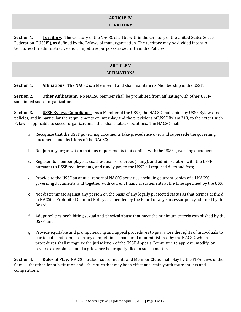## **ARTICLE IV TERRITORY**

**Section 1. Territory.** The territory of the NACSC shall be within the territory of the United States Soccer Federation ("USSF"), as defined by the Bylaws of that organization. The territory may be divided into subterritories for administrative and competitive purposes as set forth in the Policies.

## **ARTICLE V AFFILIATIONS**

**Section 1. Affiliations.** The NACSC is a Member of and shall maintain its Membership in the USSF.

**Section 2. Other Affiliations.** No NACSC Member shall be prohibited from affiliating with other USSFsanctioned soccer organizations.

**Section 3. USSF Bylaws Compliance.** As a Member of the USSF, the NACSC shall abide by USSF Bylaws and policies, and in particular the requirements on interplay and the provisions of USSF Bylaw 213, to the extent such Bylaw is applicable to soccer organizations other than state associations. The NACSC shall:

- a. Recognize that the USSF governing documents take precedence over and supersede the governing documents and decisions of the NACSC;
- b. Not join any organization that has requirements that conflict with the USSF governing documents;
- c. Register its member players, coaches, teams, referees (if any), and administrators with the USSF pursuant to USSF requirements, and timely pay to the USSF all required dues and fees;
- d. Provide to the USSF an annual report of NACSC activities, including current copies of all NACSC governing documents, and together with current financial statements at the time specified by the USSF;
- e. Not discriminate against any person on the basis of any legally protected status as that term is defined in NACSC's Prohibited Conduct Policy as amended by the Board or any successor policy adopted by the Board;
- f. Adopt policies prohibiting sexual and physical abuse that meet the minimum criteria established by the USSF; and
- g. Provide equitable and prompt hearing and appeal procedures to guarantee the rights of individuals to participate and compete in any competitions sponsored or administered by the NACSC, which procedures shall recognize the jurisdiction of the USSF Appeals Committee to approve, modify, or reverse a decision, should a grievance be properly filed in such a matter.

**Section 4. Rules of Play.** NACSC outdoor soccer events and Member Clubs shall play by the FIFA Laws of the Game, other than for substitution and other rules that may be in effect at certain youth tournaments and competitions.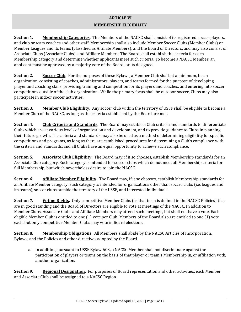## **ARTICLE VI**

#### **MEMBERSHIP ELIGIBILITY**

**Section 1. Membership Categories.** The Members of the NACSC shall consist of its registered soccer players, and club or team coaches and other staff. Membership shall also include Member Soccer Clubs (Member Clubs) or Member Leagues and its teams (classified as Affiliate Members), and the Board of Directors, and may also consist of Associate Clubs (Associate Clubs), and Affiliate Members. The Board shall establish the criteria for each Membership category and determine whether applicants meet such criteria. To become a NACSC Member, an applicant must be approved by a majority vote of the Board, or its designee.

**Section 2. Soccer Club.** For the purposes of these Bylaws, a Member Club shall, at a minimum, be an organization, consisting of coaches, administrators, players, and teams formed for the purpose of developing player and coaching skills, providing training and competition for its players and coaches, and entering into soccer competitions outside of the club organization. While the primary focus shall be outdoor soccer, Clubs may also participate in indoor soccer activities.

**Section 3. Member Club Eligibility.** Any soccer club within the territory of USSF shall be eligible to become a Member Club of the NACSC, as long as the criteria established by the Board are met.

**Section 4. Club Criteria and Standards.** The Board may establish Club criteria and standards to differentiate Clubs which are at various levels of organization and development, and to provide guidance to Clubs in planning their future growth. The criteria and standards may also be used as a method of determining eligibility for specific competitions and programs, as long as there are established procedures for determining a Club's compliance with the criteria and standards, and all Clubs have an equal opportunity to achieve such compliance.

**Section 5. Associate Club Eligibility.** The Board may, if it so chooses, establish Membership standards for an Associate Club category. Such category is intended for soccer clubs which do not meet all Membership criteria for full Membership, but which nevertheless desire to join the NACSC.

**Section 6. Affiliate Member Eligibility.** The Board may, if it so chooses, establish Membership standards for an Affiliate Member category. Such category is intended for organizations other than soccer clubs (i.e. leagues and its teams), soccer clubs outside the territory of the USSF, and interested individuals.

**Section 7. Voting Rights.** Only competitive Member Clubs (as that term is defined in the NACSC Policies) that are in good standing and the Board of Directors are eligible to vote at meetings of the NACSC. In addition to Member Clubs, Associate Clubs and Affiliate Members may attend such meetings, but shall not have a vote. Each eligible Member Club is entitled to one (1) vote per Club. Members of the Board also are entitled to one (1) vote each, but only competitive Member Clubs may vote in Board elections.

**Section 8. Membership Obligations.** All Members shall abide by the NACSC Articles of Incorporation, Bylaws, and the Policies and other directives adopted by the Board.

a. In addition, pursuant to USSF Bylaw 603, a NACSC Member shall not discriminate against the participation of players or teams on the basis of that player or team's Membership in, or affiliation with, another organization.

**Section 9. Regional Designation.** For purposes of Board representation and other activities, each Member and Associate Club shall be assigned to a NACSC Region.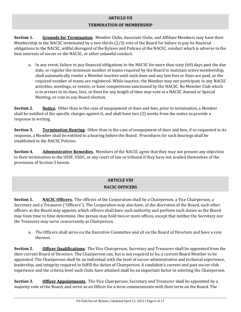## **ARTICLE VII TERMINATION OF MEMBERSHIP**

**Section 1. Grounds for Termination.** Member Clubs, Associate Clubs, and Affiliate Members may have their Membership in the NACSC terminated by a two-thirds (2/3) vote of the Board for failure to pay its financial obligations to the NACSC, willful disregard of the Bylaws and Policies of the NACSC, conduct which is adverse to the best interests of soccer or the NACSC, or other unlawful conduct.

a. In any event, failure to pay financial obligations to the NACSC for more than sixty (60) days past the due date, or register the minimum number of teams required by the Board to maintain active membership, shall automatically render a Member inactive until such dues and any late fees or fines are paid, or the required number of teams are registered. While inactive, the Member may not participate in any NACSC activities, meetings, or events, or have competitions sanctioned by the NACSC. No Member Club which is in arrears in its dues, fees, or fines for any length of time may vote at a NACSC Annual or Special Meeting, or vote in any Board election.

**Section 2. Notice.** Other than in the case of nonpayment of dues and fees, prior to termination, a Member shall be notified of the specific charges against it, and shall have two (2) weeks from the notice to provide a response in writing.

**Section 3. Termination Hearing.** Other than in the case of nonpayment of dues and fees, if so requested in its response, a Member shall be entitled to a hearing before the Board. Procedures for such hearings shall be established in the NACSC Policies.

**Section 4. Administrative Remedies.** Members of the NACSC agree that they may not present any objection to their termination to the USSF, USOC, or any court of law or tribunal if they have not availed themselves of the provisions of Section 3 herein.

## **ARTICLE VIII NACSC OFFICERS**

**Section 1. NACSC Officers.** The officers of the Corporation shall be a Chairperson, a Vice Chairperson, a Secretary and a Treasurer ("Officers"). The Corporation may also have, at the discretion of the Board, such other officers as the Board may appoint, which officers shall have such authority and perform such duties as the Board may from time to time determine. One person may hold two or more offices, except that neither the Secretary nor the Treasurer may serve concurrently as Chairperson.

a. The Officers shall serve on the Executive Committee and sit on the Board of Directors and have a vote thereon.

**Section 2. Officer Qualifications.** The Vice Chairperson, Secretary and Treasurer shall be appointed from the then-current Board of Directors. The Chairperson can, but is not required to be, a current Board Member to be appointed. The Chairperson shall be an individual with the level of soccer administrative and technical experience, leadership, and integrity required to fulfill the duties of Chairperson. A candidate's current and past soccer club experience and the criteria level such clubs have attained shall be an important factor in selecting the Chairperson.

**Section 3. Officer Appointments**. The Vice Chairperson, Secretary and Treasurer shall be appointed by a majority vote of the Board, and serve as an Officer for a term commensurate with their term on the Board. The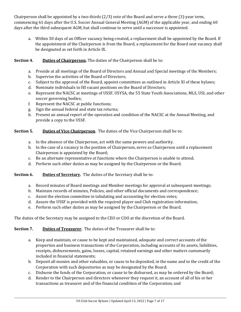Chairperson shall be appointed by a two-thirds (2/3) vote of the Board and serve a three (3)-year term, commencing 61 days after the U.S. Soccer Annual General Meeting (AGM) of the applicable year, and ending 60 days after the third subsequent AGM, but shall continue to serve until a successor is appointed.

a. Within 30 days of an Officer vacancy being created, a replacement shall be appointed by the Board. If the appointment of the Chairperson is from the Board, a replacement for the Board seat vacancy shall be designated as set forth in Article IX.

### **Section 4.** Duties of Chairperson. The duties of the Chairperson shall be to:

- a. Preside at all meetings of the Board of Directors and Annual and Special meetings of the Members;
- b. Supervise the activities of the Board of Directors;
- c. Subject to the approval of the Board, appoint committees as outlined in Article XI of these bylaws;
- d. Nominate individuals to fill vacant positions on the Board of Directors;
- e. Represent the NACSC at meetings of USSF, USYSA, the 55 State Youth Associations, MLS, USL and other soccer governing bodies;
- f. Represent the NACSC at public functions;
- g. Sign the annual federal and state tax returns;
- h. Present an annual report of the operation and condition of the NACSC at the Annual Meeting, and provide a copy to the USSF.

## **Section 5.** Duties of Vice Chairperson. The duties of the Vice Chairperson shall be to:

- a. In the absence of the Chairperson, act with the same powers and authority.
- b. In the case of a vacancy in the position of Chairperson, serve as Chairperson until a replacement Chairperson is appointed by the Board;
- c. Be an alternate representative at functions where the Chairperson is unable to attend;
- d. Perform such other duties as may be assigned by the Chairperson or the Board.

### **Section 6.** Duties of Secretary. The duties of the Secretary shall be to:

- a. Record minutes of Board meetings and Member meetings for approval at subsequent meetings;
- b. Maintain records of minutes, Policies, and other official documents and correspondence;
- c. Assist the election committee in tabulating and accounting for election votes;
- d. Assure the USSF is provided with the required player and Club registration information;
- e. Perform such other duties as may be assigned by the Chairperson or the Board.

The duties of the Secretary may be assigned to the CEO or COO at the discretion of the Board.

### **Section 7. Duties of Treasurer.** The duties of the Treasurer shall be to:

- a. Keep and maintain, or cause to be kept and maintained, adequate and correct accounts of the properties and business transactions of the Corporation, including accounts of its assets, liabilities, receipts, disbursements, gains, losses, capital, retained earnings and other matters customarily included in financial statements;
- b. Deposit all monies and other valuables, or cause to be deposited, in the name and to the credit of the Corporation with such depositories as may be designated by the Board;
- c. Disburse the funds of the Corporation, or cause to be disbursed, as may be ordered by the Board;
- d. Render to the Chairperson and directors whenever they request it, an account of all of his or her transactions as treasurer and of the financial condition of the Corporation; and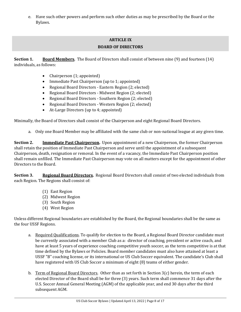e. Have such other powers and perform such other duties as may be prescribed by the Board or the Bylaws.

## **ARTICLE IX BOARD OF DIRECTORS**

**Section 1. Board Members.** The Board of Directors shall consist of between nine (9) and fourteen (14) individuals, as follows:

- Chairperson (1; appointed)
- Immediate Past Chairperson (up to 1; appointed)
- Regional Board Directors Eastern Region (2; elected)
- Regional Board Directors Midwest Region (2; elected)
- Regional Board Directors Southern Region (2; elected)
- Regional Board Directors Western Region (2; elected)
- At-Large Directors (up to 4; appointed)

Minimally, the Board of Directors shall consist of the Chairperson and eight Regional Board Directors.

a. Only one Board Member may be affiliated with the same club or non-national league at any given time.

**Section 2. Immediate Past Chairperson.** Upon appointment of a new Chairperson, the former Chairperson shall retain the position of Immediate Past Chairperson and serve until the appointment of a subsequent Chairperson, death, resignation or removal. In the event of a vacancy, the Immediate Past Chairperson position shall remain unfilled. The Immediate Past Chairperson may vote on all matters except for the appointment of other Directors to the Board.

**Section 3. Regional Board Directors.** Regional Board Directors shall consist of two elected individuals from each Region. The Regions shall consist of:

- (1) East Region
- (2) Midwest Region
- (3) South Region
- (4) West Region

Unless different Regional boundaries are established by the Board, the Regional boundaries shall be the same as the four USSF Regions.

- a. Required Qualifications. To qualify for election to the Board, a Regional Board Director candidate must be currently associated with a member Club as a: director of coaching, president or active coach, and have at least 5 years of experience coaching competitive youth soccer, as the term competitive is at that time defined by the Bylaws or Policies. Board member candidates must also have attained at least a USSF "B" coaching license, or its international or US Club Soccer equivalent. The candidate's Club shall have registered with US Club Soccer a minimum of eight (8) teams of either gender.
- b. Term of Regional Board Directors. Other than as set forth in Section  $3(c)$  herein, the term of each elected Director of the Board shall be for three (3) years. Such term shall commence 31 days after the U.S. Soccer Annual General Meeting (AGM) of the applicable year, and end 30 days after the third subsequent AGM.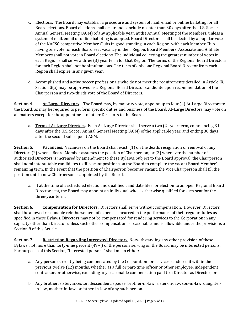- c. Elections. The Board may establish a procedure and system of mail, email or online balloting for all Board elections. Board elections shall occur and conclude no later than 30 days after the U.S. Soccer Annual General Meeting (AGM) of any applicable year, at the Annual Meeting of the Members, unless a system of mail, email or online balloting is adopted. Board Directors shall be elected by a popular vote of the NACSC competitive Member Clubs in good standing in each Region, with each Member Club having one vote for each Board seat vacancy in their Region. Board Members, Associate and Affiliate Members shall not vote in Board elections. The individual collecting the greatest number of votes in each Region shall serve a three (3) year term for that Region. The terms of the Regional Board Directors for each Region shall not be simultaneous. The term of only one Regional Board Director from each Region shall expire in any given year.
- d. Accomplished and active soccer professionals who do not meet the requirements detailed in Article IX, Section 3(a) may be approved as a Regional Board Director candidate upon recommendation of the Chairperson and two-thirds vote of the Board of Directors.

**Section 4. At‐Large Directors.** The Board may, by majority vote, appoint up to four (4) At-Large Directors to the Board, as may be required to perform specific duties and business of the Board. At-Large Directors may vote on all matters except for the appointment of other Directors to the Board.

a. Term of At-Large Directors. Each At-Large Director shall serve a two (2)-year term, commencing 31 days after the U.S. Soccer Annual General Meeting (AGM) of the applicable year, and ending 30 days after the second subsequent AGM.

**Section 5. Vacancies.** Vacancies on the Board shall exist: (1) on the death, resignation or removal of any Director; (2) when a Board Member assumes the position of Chairperson; or (3) whenever the number of authorized Directors is increased by amendment to these Bylaws. Subject to the Board approval, the Chairperson shall nominate suitable candidates to fill vacant positions on the Board to complete the vacant Board Member's remaining term. In the event that the position of Chairperson becomes vacant, the Vice Chairperson shall fill the position until a new Chairperson is appointed by the Board.

a. If at the time of a scheduled election no qualified candidate files for election to an open Regional Board Director seat, the Board may appoint an individual who is otherwise qualified for such seat for the three-year term.

**Section 6. Compensation for Directors.** Directors shall serve without compensation. However, Directors shall be allowed reasonable reimbursement of expenses incurred in the performance of their regular duties as specified in these Bylaws. Directors may not be compensated for rendering services to the Corporation in any capacity other than Director unless such other compensation is reasonable and is allowable under the provisions of Section 8 of this Article.

**Section 7. Restriction Regarding Interested Directors.** Notwithstanding any other provision of these Bylaws, not more than forty-nine percent (49%) of the persons serving on the Board may be interested persons. For purposes of this Section, "interested persons" shall mean either:

- a. Any person currently being compensated by the Corporation for services rendered it within the previous twelve (12) months, whether as a full or part-time officer or other employee, independent contractor, or otherwise, excluding any reasonable compensation paid to a Director as Director; or
- b. Any brother, sister, ancestor, descendent, spouse, brother-in-law, sister-in-law, son-in-law, daughterin-law, mother-in-law, or father-in-law of any such person.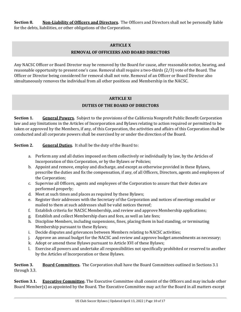**Section 8. Non‐Liability of Officers and Directors.** The Officers and Directors shall not be personally liable for the debts, liabilities, or other obligations of the Corporation.

#### **ARTICLE X**

#### **REMOVAL OF OFFICEERS AND BOARD DIRECTORS**

Any NACSC Officer or Board Director may be removed by the Board for cause, after reasonable notice, hearing, and reasonable opportunity to present one's case. Removal shall require a two-thirds (2/3) vote of the Board. The Officer or Director being considered for removal shall not vote. Removal of an Officer or Board Director also simultaneously removes the individual from all other positions and Membership in the NACSC.

#### **ARTICLE XI**

## **DUTIES OF THE BOARD OF DIRECTORS**

**Section 1. General Powers.** Subject to the provisions of the California Nonprofit Public Benefit Corporation law and any limitations in the Articles of Incorporation and Bylaws relating to action required or permitted to be taken or approved by the Members, if any, of this Corporation, the activities and affairs of this Corporation shall be conducted and all corporate powers shall be exercised by or under the direction of the Board.

**Section 2. General Duties.** It shall be the duty of the Board to:

- a. Perform any and all duties imposed on them collectively or individually by law, by the Articles of Incorporation of this Corporation, or by the Bylaws or Policies;
- b. Appoint and remove, employ and discharge, and except as otherwise provided in these Bylaws, prescribe the duties and fix the compensation, if any, of all Officers, Directors, agents and employees of the Corporation;
- c. Supervise all Officers, agents and employees of the Corporation to assure that their duties are performed properly;
- d. Meet at such times and places as required by these Bylaws;
- e. Register their addresses with the Secretary of the Corporation and notices of meetings emailed or mailed to them at such addresses shall be valid notices thereof;
- f. Establish criteria for NACSC Membership, and review and approve Membership applications;
- g. Establish and collect Membership dues and fees, as well as late fees;
- h. Discipline Members, including suspensions, fines, placing them in bad standing, or terminating Membership pursuant to these Bylaws;
- i. Decide disputes and grievances between Members relating to NACSC activities;
- j. Approve an annual budget for the NACSC and review and approve budget amendments as necessary;
- k. Adopt or amend these Bylaws pursuant to Article XVI of these Bylaws;
- l. Exercise all powers and undertake all responsibilities not specifically prohibited or reserved to another by the Articles of Incorporation or these Bylaws.

**Section 3. Board Committees.** The Corporation shall have the Board Committees outlined in Sections 3.1 through 3.3.

**Section 3.1. Executive Committee.** The Executive Committee shall consist of the Officers and may include other Board Member(s) as appointed by the Board. The Executive Committee may act for the Board in all matters except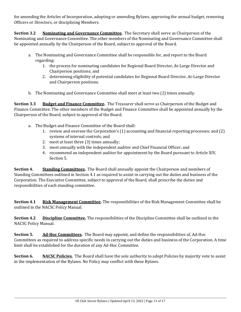for amending the Articles of Incorporation, adopting or amending Bylaws, approving the annual budget, removing Officers or Directors, or disciplining Members.

**Section 3.2 Nominating and Governance Committee.** The Secretary shall serve as Chairperson of the Nominating and Governance Committee. The other members of the Nominating and Governance Committee shall be appointed annually by the Chairperson of the Board, subject to approval of the Board.

- a. The Nominating and Governance Committee shall be responsible for, and report to the Board regarding:
	- 1. the process for nominating candidates for Regional Board Director, At-Large Director and Chairperson positions; and
	- 2. determining eligibility of potential candidates for Regional Board Director, At-Large Director and Chairperson positions.
- b. The Nominating and Governance Committee shall meet at least two (2) times annually.

**Section 3.3 Budget and Finance Committee.** The Treasurer shall serve as Chairperson of the Budget and Finance Committee. The other members of the Budget and Finance Committee shall be appointed annually by the Chairperson of the Board, subject to approval of the Board.

- a. The Budget and Finance Committee of the Board shall:
	- 1. review and oversee the Corporation's (1) accounting and financial reporting processes; and (2) systems of internal controls; and
	- 2. meet at least three (3) times annually;
	- 3. meet annually with the independent auditor and Chief Financial Officer; and
	- 4. recommend an independent auditor for appointment by the Board pursuant to Article XIV, Section 5.

**Section 4. Standing Committees.** The Board shall annually appoint the Chairperson and members of Standing Committees outlined in Section 4.1 as required to assist in carrying out the duties and business of the Corporation. The Executive Committee, subject to approval of the Board, shall prescribe the duties and responsibilities of each standing committee.

**Section 4.1 Risk Management Committee.** The responsibilities of the Risk Management Committee shall be outlined in the NACSC Policy Manual.

**Section 4.2 Discipline Committee.** The responsibilities of the Discipline Committee shall be outlined in the NACSC Policy Manual.

**Section 5. Ad‐Hoc Committees.** The Board may appoint, and define the responsibilities of, Ad-Hoc Committees as required to address specific needs in carrying out the duties and business of the Corporation. A time limit shall be established for the duration of any Ad-Hoc Committee.

**Section 6. NACSC Policies.** The Board shall have the sole authority to adopt Policies by majority vote to assist in the implementation of the Bylaws. No Policy may conflict with these Bylaws.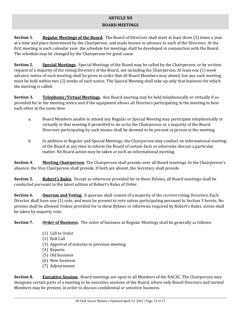#### **ARTICLE XII BOARD MEETINGS**

**Section 1. Regular Meetings of the Board.** The Board of Directors shall meet at least three (3) times a year at a time and place determined by the Chairperson, and made known in advance to each of the Directors. At the first meeting in each calendar year, the schedule for meetings shall be developed in conjunction with the Board. The schedule may be changed by the Chairperson for good cause.

**Section 2. Special Meetings.** Special Meetings of the Board may be called by the Chairperson, or by written request of a majority of the voting Directors of the Board, not including the Chairperson. At least one (1) week advance notice of such meeting shall be given in order that all Board Members may attend, but any such meeting must be held within two (2) weeks of such notice. The Special Meeting shall take up only that business for which the meeting is called.

**Section 3.** Telephonic/Virtual Meetings. Any Board meeting may be held telephonically or virtually if so provided for in the meeting notice and if the equipment allows all Directors participating in the meeting to hear each other at the same time.

- a. Board Members unable to attend any Regular or Special Meeting may participate telephonically or virtually in that meeting if permitted to do so by the Chairperson or a majority of the Board. Directors participating by such means shall be deemed to be present in person at the meeting.
- b. In addition to Regular and Special Meetings, the Chairperson may conduct an informational meeting of the Board at any time to inform the Board of certain facts or otherwise discuss a particular matter. No Board action may be taken at such an informational meeting.

**Section 4. Meeting Chairperson.** The Chairperson shall preside over all Board meetings. In the Chairperson's absence, the Vice Chairperson shall preside. If both are absent, the Secretary shall preside.

**Section 5. Robert's Rules.** Except as otherwise provided for in these Bylaws, all Board meetings shall be conducted pursuant to the latest edition of Robert's Rules of Order.

**Section 6. Quorum and Voting.** A quorum shall consist of a majority of the current voting Directors. Each Director shall have one (1) vote, and must be present to vote unless participating pursuant to Section 3 herein. No proxies shall be allowed. Unless provided for in these Bylaws or otherwise required by Robert's Rules, action shall be taken by majority vote.

**Section 7. Order of Business.** The order of business at Regular Meetings shall be generally as follows:

- (1) Call to Order
- (2) Roll Call
- (3) Approval of minutes to previous meeting
- (4) Reports
- (5) Old business
- (6) New business
- (7) Adjournment

**Section 8. Executive Session.** Board meetings are open to all Members of the NACSC. The Chairperson may designate certain parts of a meeting to be executive sessions of the Board, where only Board Directors and invited Members may be present, in order to discuss confidential or sensitive business.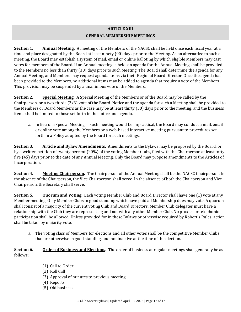## **ARTICLE XIII GENERAL MEMBERSHIP MEETINGS**

**Section 1. Annual Meeting.** A meeting of the Members of the NACSC shall be held once each fiscal year at a time and place designated by the Board at least ninety (90) days prior to the Meeting. As an alternative to such a meeting, the Board may establish a system of mail, email or online balloting by which eligible Members may cast votes for members of the Board. If an Annual meeting is held, an agenda for the Annual Meeting shall be provided to the Members no less than thirty (30) days prior to such Meeting. The Board shall determine the agenda for any Annual Meeting, and Members may request agenda items via their Regional Board Director. Once the agenda has been provided to the Members, no additional items may be added to agenda that require a vote of the Members. This provision may be suspended by a unanimous vote of the Members.

**Section 2. Special Meeting.** A Special Meeting of the Members or of the Board may be called by the Chairperson, or a two-thirds (2/3) vote of the Board. Notice and the agenda for such a Meeting shall be provided to the Members or Board Members as the case may be at least thirty (30) days prior to the meeting, and the business items shall be limited to those set forth in the notice and agenda.

a. In lieu of a Special Meeting, if such meeting would be impractical, the Board may conduct a mail, email or online vote among the Members or a web-based interactive meeting pursuant to procedures set forth in a Policy adopted by the Board for such meetings.

**Section 3. Article and Bylaw Amendments.** Amendments to the Bylaws may be proposed by the Board, or by a written petition of twenty percent (20%) of the voting Member Clubs, filed with the Chairperson at least fortyfive (45) days prior to the date of any Annual Meeting. Only the Board may propose amendments to the Articles of Incorporation.

**Section 4. Meeting Chairperson.** The Chairperson of the Annual Meeting shall be the NACSC Chairperson. In the absence of the Chairperson, the Vice Chairperson shall serve. In the absence of both the Chairperson and Vice Chairperson, the Secretary shall serve.

**Section 5. Quorum and Voting.** Each voting Member Club and Board Director shall have one (1) vote at any Member meeting. Only Member Clubs in good standing which have paid all Membership dues may vote. A quorum shall consist of a majority of the current voting Club and Board Directors. Member Club delegates must have a relationship with the Club they are representing and not with any other Member Club. No proxies or telephonic participation shall be allowed. Unless provided for in these Bylaws or otherwise required by Robert's Rules, action shall be taken by majority vote.

a. The voting class of Members for elections and all other votes shall be the competitive Member Clubs that are otherwise in good standing, and not inactive at the time of the election.

**Section 6. Order of Business and Elections.** The order of business at regular meetings shall generally be as follows:

- (1) Call to Order
- (2) Roll Call
- (3) Approval of minutes to previous meeting
- (4) Reports
- (5) Old business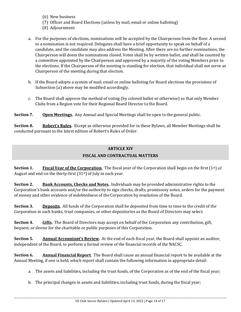- (6) New business
- (7) Officer and Board Elections (unless by mail, email or online balloting)
- (8) Adjournment
- a. For the purposes of elections, nominations will be accepted by the Chairperson from the floor. A second to a nomination is not required. Delegates shall have a brief opportunity to speak on behalf of a candidate, and the candidate may also address the Meeting. After there are no further nominations, the Chairperson will deem the nominations closed. Votes shall be by written ballot, and shall be counted by a committee appointed by the Chairperson and approved by a majority of the voting Members prior to the elections. If the Chairperson of the meeting is standing for election, that individual shall not serve as Chairperson of the meeting during that election.
- b. If the Board adopts a system of mail, email or online balloting for Board elections the provisions of Subsection (a) above may be modified accordingly.
- c. The Board shall approve the method of voting (by colored ballot or otherwise) so that only Member Clubs from a Region vote for their Regional Board Director to the Board.

**Section 7. Open Meetings.** Any Annual and Special Meetings shall be open to the general public.

**Section 8. Robert's Rules.** Except as otherwise provided for in these Bylaws, all Member Meetings shall be conducted pursuant to the latest edition of Robert's Rules of Order.

## **ARTICLE XIV FISCAL AND CONTRACTUAL MATTERS**

**Section 1. Fiscal Year of the Corporation.** The fiscal year of the Corporation shall begin on the first (1st) of August and end on the thirty-first (31st) of July in each year.

**Section 2. Bank Accounts, Checks and Notes.** Individuals may be provided administrative rights to the Corporation's bank accounts and/or the authority to sign checks, drafts, promissory notes, orders for the payment of money and other evidence of indebtedness of the Corporation by resolution of the Board.

**Section 3. Deposits.** All funds of the Corporation shall be deposited from time to time to the credit of the Corporation in such banks, trust companies, or other depositories as the Board of Directors may select.

**Section 4. Gifts.** The Board of Directors may accept on behalf of the Corporation any contribution, gift, bequest, or devise for the charitable or public purposes of this Corporation.

**Section 5. Annual Accountant's Review.** At the end of each fiscal year, the Board shall appoint an auditor, independent of the Board, to perform a formal review of the financial records of the NACSC.

**Section 6. Annual Financial Report.** The Board shall cause an annual financial report to be available at the Annual Meeting, if one is held, which report shall contain the following information in appropriate detail:

- a. The assets and liabilities, including the trust funds, of the Corporation as of the end of the fiscal year;
- b. The principal changes in assets and liabilities, including trust funds, during the fiscal year;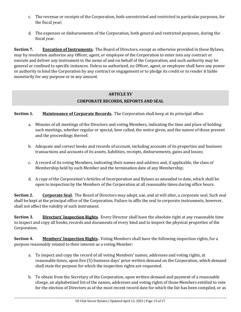- c. The revenue or receipts of the Corporation, both unrestricted and restricted to particular purposes, for the fiscal year;
- d. The expenses or disbursements of the Corporation, both general and restricted purposes, during the fiscal year.

**Section 7. Execution of Instruments.** The Board of Directors, except as otherwise provided in these Bylaws, may by resolution authorize any Officer, agent, or employee of the Corporation to enter into any contract or execute and deliver any instrument in the name of and on behalf of the Corporation, and such authority may be general or confined to specific instances. Unless so authorized, no Officer, agent, or employee shall have any power or authority to bind the Corporation by any contract or engagement or to pledge its credit or to render it liable monetarily for any purpose or in any amount.

## **ARTICLE XV CORPORATE RECORDS, REPORTS AND SEAL**

**Section 1. Maintenance of Corporate Records.** The Corporation shall keep at its principal office:

- a. Minutes of all meetings of the Directors and voting Members, indicating the time and place of holding such meetings, whether regular or special, how called, the notice given, and the names of those present and the proceedings thereof;
- b. Adequate and correct books and records of account, including accounts of its properties and business transactions and accounts of its assets, liabilities, receipts, disbursements, gains and losses;
- c. A record of its voting Members, indicating their names and address and, if applicable, the class of Membership held by each Member and the termination date of any Membership;
- d. A copy of the Corporation's Articles of Incorporation and Bylaws as amended to date, which shall be open to inspection by the Members of the Corporation at all reasonable times during office hours.

**Section 2. Corporate Seal.** The Board of Directors may adopt, use, and at will alter, a corporate seal. Such seal shall be kept at the principal office of the Corporation. Failure to affix the seal to corporate instruments, however, shall not affect the validity of such instrument.

**Section 3. Directors' Inspection Rights.** Every Director shall have the absolute right at any reasonable time to inspect and copy all books, records and documents of every kind and to inspect the physical properties of the Corporation.

**Section 4. Members' Inspection Rights.** Voting Members shall have the following inspection rights, for a purpose reasonably related to their interest as a voting Member:

- a. To inspect and copy the record of all voting Members' names, addresses and voting rights, at reasonable times, upon five (5) business days' prior written demand on the Corporation, which demand shall state the purpose for which the inspection rights are requested.
- b. To obtain from the Secretary of the Corporation, upon written demand and payment of a reasonable charge, an alphabetized list of the names, addresses and voting rights of those Members entitled to vote for the election of Directors as of the most recent record date for which the list has been compiled, or as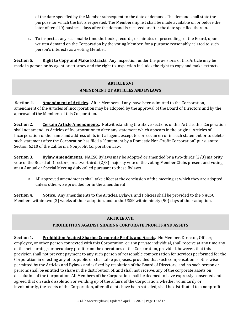of the date specified by the Member subsequent to the date of demand. The demand shall state the purpose for which the list is requested. The Membership list shall be made available on or before the later of ten (10) business days after the demand is received or after the date specified therein.

c. To inspect at any reasonable time the books, records, or minutes of proceedings of the Board, upon written demand on the Corporation by the voting Member, for a purpose reasonably related to such person's interests as a voting Member.

**Section 5. Right to Copy and Make Extracts.** Any inspection under the provisions of this Article may be made in person or by agent or attorney and the right to inspection includes the right to copy and make extracts.

## **ARTICLE XVI AMENDMENT OF ARTICLES AND BYLAWS**

**Section 1. Amendment of Articles.** After Members, if any, have been admitted to the Corporation, amendment of the Articles of Incorporation may be adopted by the approval of the Board of Directors and by the approval of the Members of this Corporation.

**Section 2. Certain Article Amendments.** Notwithstanding the above sections of this Article, this Corporation shall not amend its Articles of Incorporation to alter any statement which appears in the original Articles of Incorporation of the name and address of its initial agent, except to correct an error in such statement or to delete such statement after the Corporation has filed a "Statement by a Domestic Non-Profit Corporation" pursuant to Section 6210 of the California Nonprofit Corporation Law.

**Section 3. Bylaw Amendments.** NACSC Bylaws may be adopted or amended by a two-thirds (2/3) majority vote of the Board of Directors, or a two-thirds (2/3) majority vote of the voting Member Clubs present and voting at an Annual or Special Meeting duly called pursuant to these Bylaws.

a. All approved amendments shall take effect at the conclusion of the meeting at which they are adopted unless otherwise provided for in the amendment.

**Section 4. Notice.** Any amendments to the Articles, Bylaws, and Policies shall be provided to the NACSC Members within two (2) weeks of their adoption, and to the USSF within ninety (90) days of their adoption.

## **ARTICLE XVII**

## **PROHIBITION AGAINST SHARING CORPORATE PROFITS AND ASSETS**

**Section 1. Prohibition Against Sharing Corporate Profits and Assets.** No Member, Director, Officer, employee, or other person connected with this Corporation, or any private individual, shall receive at any time any of the net earnings or pecuniary profit from the operations of the Corporation, provided, however, that this provision shall not prevent payment to any such person of reasonable compensation for services performed for the Corporation in effecting any of its public or charitable purposes, provided that such compensation is otherwise permitted by the Articles and Bylaws and is fixed by resolution of the Board of Directors; and no such person or persons shall be entitled to share in the distribution of, and shall not receive, any of the corporate assets on dissolution of the Corporation. All Members of the Corporation shall be deemed to have expressly consented and agreed that on such dissolution or winding up of the affairs of the Corporation, whether voluntarily or involuntarily, the assets of the Corporation, after all debts have been satisfied, shall be distributed to a nonprofit